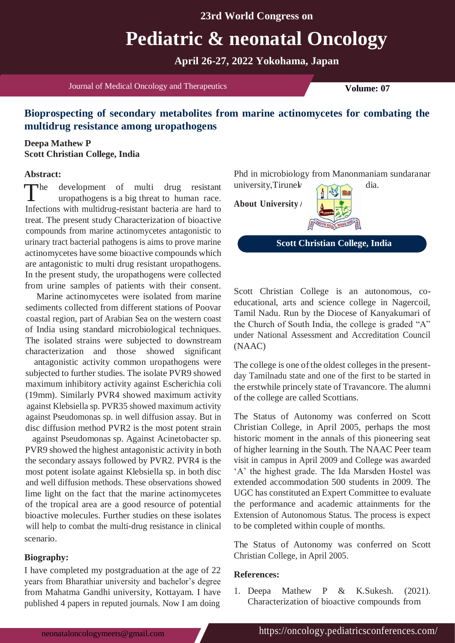## **23rd World Congress on**

# **Pediatric & neonatal Oncology**

**April 26-27, 2022 Yokohama, Japan**

Journal of Medical Oncology and Therapeutics **Volume: 07** 

# **Bioprospecting of secondary metabolites from marine actinomycetes for combating the multidrug resistance among uropathogens**

### **Deepa Mathew P Scott Christian College, India**

### **Abstract:**

The development of multi drug resistant university, Tirune with the property of the state of the state of the details are head to  $\frac{1}{\sqrt{2}}$ he development of multi drug resistant Infections with multidrug-resistant bacteria are hard to treat. The present study Characterization of bioactive compounds from marine actinomycetes antagonistic to urinary tract bacterial pathogens is aims to prove marine actinomycetes have some bioactive compounds which are antagonistic to multi drug resistant uropathogens. In the present study, the uropathogens were collected from urine samples of patients with their consent.

Marine actinomycetes were isolated from marine sediments collected from different stations of Poovar coastal region, part of Arabian Sea on the western coast of India using standard microbiological techniques. The isolated strains were subjected to downstream characterization and those showed significant

antagonistic activity common uropathogens were subjected to further studies. The isolate PVR9 showed maximum inhibitory activity against Escherichia coli (19mm). Similarly PVR4 showed maximum activity against Klebsiella sp. PVR35 showed maximum activity against Pseudomonas sp. in well diffusion assay. But in disc diffusion method PVR2 is the most potent strain

against Pseudomonas sp. Against Acinetobacter sp. PVR9 showed the highest antagonistic activity in both the secondary assays followed by PVR2. PVR4 is the most potent isolate against Klebsiella sp. in both disc and well diffusion methods. These observations showed lime light on the fact that the marine actinomycetes of the tropical area are a good resource of potential bioactive molecules. Further studies on these isolates will help to combat the multi-drug resistance in clinical scenario.

#### **Biography:**

I have completed my postgraduation at the age of 22 years from Bharathiar university and bachelor's degree from Mahatma Gandhi university, Kottayam. I have published 4 papers in reputed journals. Now I am doing

Phd in microbiology from Manonmaniam sundaranar university, Tirunel dia.

**About University**



**Scott Christian College, India**

Scott Christian College is an autonomous, coeducational, arts and science college in Nagercoil, Tamil Nadu. Run by the Diocese of Kanyakumari of the Church of South India, the college is graded "A" under National Assessment and Accreditation Council (NAAC)

The college is one of the oldest colleges in the presentday Tamilnadu state and one of the first to be started in the erstwhile princely state of Travancore. The alumni of the college are called Scottians.

The Status of Autonomy was conferred on Scott Christian College, in April 2005, perhaps the most historic moment in the annals of this pioneering seat of higher learning in the South. The NAAC Peer team visit in campus in April 2009 and College was awarded 'A' the highest grade. The Ida Marsden Hostel was extended accommodation 500 students in 2009. The UGC has constituted an Expert Committee to evaluate the performance and academic attainments for the Extension of Autonomous Status. The process is expect to be completed within couple of months.

The Status of Autonomy was conferred on Scott Christian College, in April 2005.

#### **References:**

1. Deepa Mathew P & K.Sukesh. (2021). Characterization of bioactive compounds from